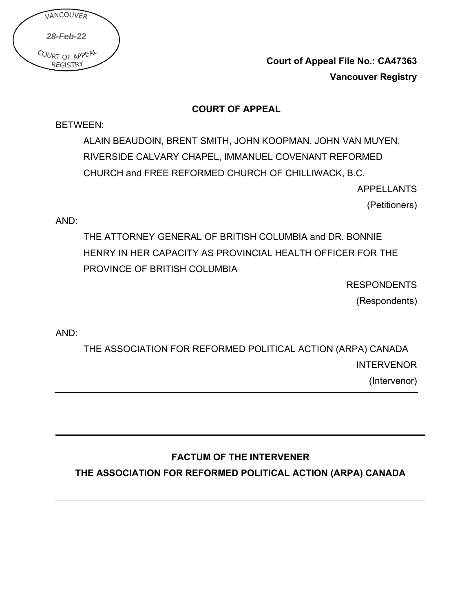| VANCOUVER                          |  |
|------------------------------------|--|
| 28-Feb-22                          |  |
| COURT OF APPEAL<br><b>REGISTRY</b> |  |

**Court of Appeal File No.: CA47363 Vancouver Registry**

### **COURT OF APPEAL**

BETWEEN:

ALAIN BEAUDOIN, BRENT SMITH, JOHN KOOPMAN, JOHN VAN MUYEN, RIVERSIDE CALVARY CHAPEL, IMMANUEL COVENANT REFORMED CHURCH and FREE REFORMED CHURCH OF CHILLIWACK, B.C.

APPELLANTS

(Petitioners)

AND:

THE ATTORNEY GENERAL OF BRITISH COLUMBIA and DR. BONNIE HENRY IN HER CAPACITY AS PROVINCIAL HEALTH OFFICER FOR THE PROVINCE OF BRITISH COLUMBIA

**RESPONDENTS** 

(Respondents)

AND:

THE ASSOCIATION FOR REFORMED POLITICAL ACTION (ARPA) CANADA INTERVENOR (Intervenor)

# **FACTUM OF THE INTERVENER**

**THE ASSOCIATION FOR REFORMED POLITICAL ACTION (ARPA) CANADA**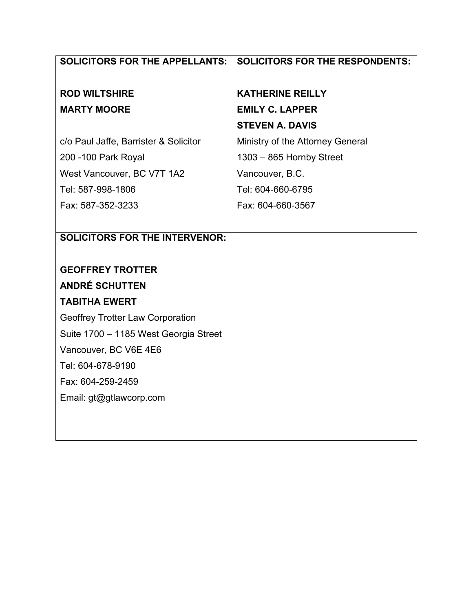| <b>SOLICITORS FOR THE APPELLANTS:</b>   | <b>SOLICITORS FOR THE RESPONDENTS:</b> |  |  |
|-----------------------------------------|----------------------------------------|--|--|
|                                         |                                        |  |  |
| <b>ROD WILTSHIRE</b>                    | <b>KATHERINE REILLY</b>                |  |  |
| <b>MARTY MOORE</b>                      | <b>EMILY C. LAPPER</b>                 |  |  |
|                                         | <b>STEVEN A. DAVIS</b>                 |  |  |
| c/o Paul Jaffe, Barrister & Solicitor   | Ministry of the Attorney General       |  |  |
| 200 -100 Park Royal                     | 1303 - 865 Hornby Street               |  |  |
| West Vancouver, BC V7T 1A2              | Vancouver, B.C.                        |  |  |
| Tel: 587-998-1806                       | Tel: 604-660-6795                      |  |  |
| Fax: 587-352-3233                       | Fax: 604-660-3567                      |  |  |
|                                         |                                        |  |  |
| <b>SOLICITORS FOR THE INTERVENOR:</b>   |                                        |  |  |
|                                         |                                        |  |  |
| <b>GEOFFREY TROTTER</b>                 |                                        |  |  |
| <b>ANDRÉ SCHUTTEN</b>                   |                                        |  |  |
| <b>TABITHA EWERT</b>                    |                                        |  |  |
| <b>Geoffrey Trotter Law Corporation</b> |                                        |  |  |
| Suite 1700 - 1185 West Georgia Street   |                                        |  |  |
| Vancouver, BC V6E 4E6                   |                                        |  |  |
| Tel: 604-678-9190                       |                                        |  |  |
| Fax: 604-259-2459                       |                                        |  |  |
| Email: gt@gtlawcorp.com                 |                                        |  |  |
|                                         |                                        |  |  |
|                                         |                                        |  |  |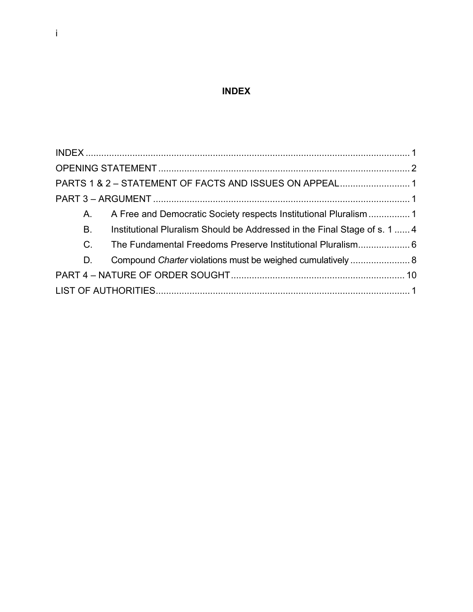# **INDEX**

<span id="page-2-0"></span>

|           | PARTS 1 & 2 - STATEMENT OF FACTS AND ISSUES ON APPEAL1                    |  |
|-----------|---------------------------------------------------------------------------|--|
|           |                                                                           |  |
| A.        |                                                                           |  |
| <b>B.</b> | Institutional Pluralism Should be Addressed in the Final Stage of s. 1  4 |  |
|           |                                                                           |  |
| D.        | Compound Charter violations must be weighed cumulatively  8               |  |
|           |                                                                           |  |
|           |                                                                           |  |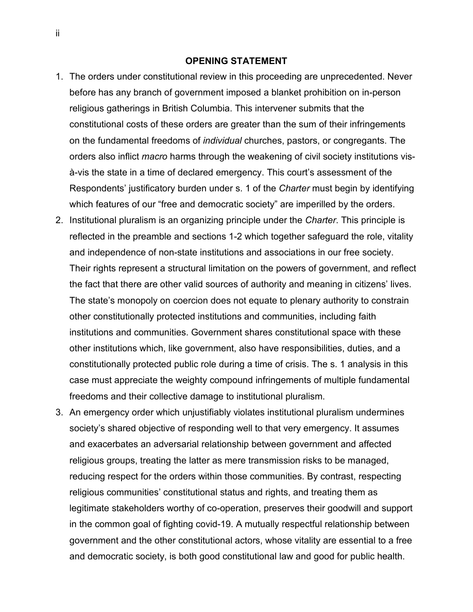#### **OPENING STATEMENT**

- <span id="page-3-0"></span>1. The orders under constitutional review in this proceeding are unprecedented. Never before has any branch of government imposed a blanket prohibition on in-person religious gatherings in British Columbia. This intervener submits that the constitutional costs of these orders are greater than the sum of their infringements on the fundamental freedoms of *individual* churches, pastors, or congregants. The orders also inflict *macro* harms through the weakening of civil society institutions visà-vis the state in a time of declared emergency. This court's assessment of the Respondents' justificatory burden under s. 1 of the *Charter* must begin by identifying which features of our "free and democratic society" are imperilled by the orders.
- 2. Institutional pluralism is an organizing principle under the *Charter*. This principle is reflected in the preamble and sections 1-2 which together safeguard the role, vitality and independence of non-state institutions and associations in our free society. Their rights represent a structural limitation on the powers of government, and reflect the fact that there are other valid sources of authority and meaning in citizens' lives. The state's monopoly on coercion does not equate to plenary authority to constrain other constitutionally protected institutions and communities, including faith institutions and communities. Government shares constitutional space with these other institutions which, like government, also have responsibilities, duties, and a constitutionally protected public role during a time of crisis. The s. 1 analysis in this case must appreciate the weighty compound infringements of multiple fundamental freedoms and their collective damage to institutional pluralism.
- 3. An emergency order which unjustifiably violates institutional pluralism undermines society's shared objective of responding well to that very emergency. It assumes and exacerbates an adversarial relationship between government and affected religious groups, treating the latter as mere transmission risks to be managed, reducing respect for the orders within those communities. By contrast, respecting religious communities' constitutional status and rights, and treating them as legitimate stakeholders worthy of co-operation, preserves their goodwill and support in the common goal of fighting covid-19. A mutually respectful relationship between government and the other constitutional actors, whose vitality are essential to a free and democratic society, is both good constitutional law and good for public health.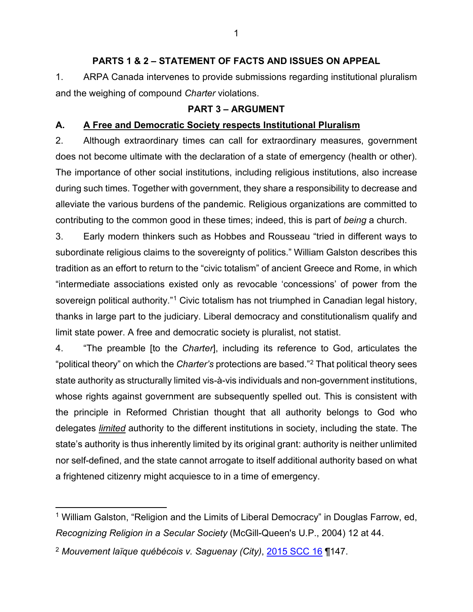#### **PARTS 1 & 2 – STATEMENT OF FACTS AND ISSUES ON APPEAL**

<span id="page-4-0"></span>1. ARPA Canada intervenes to provide submissions regarding institutional pluralism and the weighing of compound *Charter* violations.

#### **PART 3 – ARGUMENT**

#### <span id="page-4-2"></span><span id="page-4-1"></span>**A. A Free and Democratic Society respects Institutional Pluralism**

2. Although extraordinary times can call for extraordinary measures, government does not become ultimate with the declaration of a state of emergency (health or other). The importance of other social institutions, including religious institutions, also increase during such times. Together with government, they share a responsibility to decrease and alleviate the various burdens of the pandemic. Religious organizations are committed to contributing to the common good in these times; indeed, this is part of *being* a church.

3. Early modern thinkers such as Hobbes and Rousseau "tried in different ways to subordinate religious claims to the sovereignty of politics." William Galston describes this tradition as an effort to return to the "civic totalism" of ancient Greece and Rome, in which "intermediate associations existed only as revocable 'concessions' of power from the sovereign political authority."<sup>[1](#page-4-3)</sup> Civic totalism has not triumphed in Canadian legal history, thanks in large part to the judiciary. Liberal democracy and constitutionalism qualify and limit state power. A free and democratic society is pluralist, not statist.

4. "The preamble [to the *Charter*], including its reference to God, articulates the "political theory" on which the *Charter's* protections are based."[2](#page-4-4) That political theory sees state authority as structurally limited vis-à-vis individuals and non-government institutions, whose rights against government are subsequently spelled out. This is consistent with the principle in Reformed Christian thought that all authority belongs to God who delegates *limited* authority to the different institutions in society, including the state. The state's authority is thus inherently limited by its original grant: authority is neither unlimited nor self-defined, and the state cannot arrogate to itself additional authority based on what a frightened citizenry might acquiesce to in a time of emergency.

<span id="page-4-3"></span><sup>&</sup>lt;sup>1</sup> William Galston, "Religion and the Limits of Liberal Democracy" in Douglas Farrow, ed, *Recognizing Religion in a Secular Society* (McGill-Queen's U.P., 2004) 12 at 44.

<span id="page-4-4"></span><sup>2</sup> *Mouvement laïque québécois v. Saguenay (City)*, [2015 SCC 16](https://decisions.scc-csc.ca/scc-csc/scc-csc/en/item/15288/index.do) ¶147.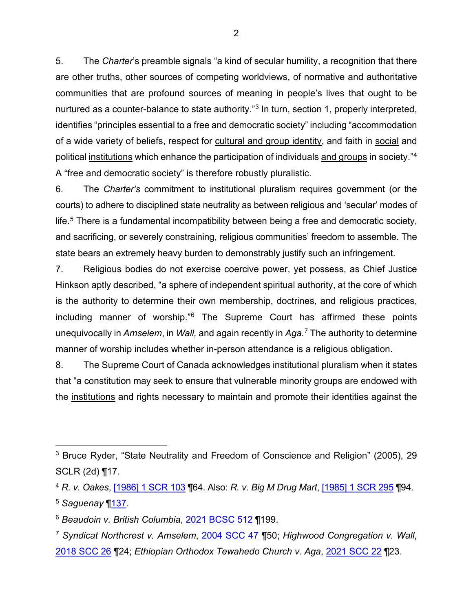5. The *Charter*'s preamble signals "a kind of secular humility, a recognition that there are other truths, other sources of competing worldviews, of normative and authoritative communities that are profound sources of meaning in people's lives that ought to be nurtured as a counter-balance to state authority."<sup>[3](#page-5-0)</sup> In turn, section 1, properly interpreted, identifies "principles essential to a free and democratic society" including "accommodation of a wide variety of beliefs, respect for cultural and group identity, and faith in social and political institutions which enhance the participation of individuals and groups in society."[4](#page-5-1) A "free and democratic society" is therefore robustly pluralistic.

6. The *Charter's* commitment to institutional pluralism requires government (or the courts) to adhere to disciplined state neutrality as between religious and 'secular' modes of life.[5](#page-5-2) There is a fundamental incompatibility between being a free and democratic society, and sacrificing, or severely constraining, religious communities' freedom to assemble. The state bears an extremely heavy burden to demonstrably justify such an infringement.

7. Religious bodies do not exercise coercive power, yet possess, as Chief Justice Hinkson aptly described, "a sphere of independent spiritual authority, at the core of which is the authority to determine their own membership, doctrines, and religious practices, including manner of worship."[6](#page-5-3) The Supreme Court has affirmed these points unequivocally in *Amselem*, in *Wall,* and again recently in *Aga.*[7](#page-5-4) The authority to determine manner of worship includes whether in-person attendance is a religious obligation.

8. The Supreme Court of Canada acknowledges institutional pluralism when it states that "a constitution may seek to ensure that vulnerable minority groups are endowed with the institutions and rights necessary to maintain and promote their identities against the

<span id="page-5-0"></span><sup>3</sup> Bruce Ryder, "State Neutrality and Freedom of Conscience and Religion" (2005), 29 SCLR (2d) ¶17.

<span id="page-5-2"></span><span id="page-5-1"></span><sup>4</sup> *R. v. Oakes*, [\[1986\] 1 SCR 103](https://decisions.scc-csc.ca/scc-csc/scc-csc/en/item/117/index.do) ¶64. Also: *R. v. Big M Drug Mart*, [\[1985\] 1 SCR 295](https://decisions.scc-csc.ca/scc-csc/scc-csc/en/item/43/index.do) ¶94. <sup>5</sup> *Saguenay* [¶137.](https://decisions.scc-csc.ca/scc-csc/scc-csc/en/item/15288/index.do)

<span id="page-5-3"></span><sup>6</sup> *Beaudoin v. British Columbia*, [2021 BCSC 512](https://www.bccourts.ca/jdb-txt/sc/21/05/2021BCSC0512cor1.htm) ¶199.

<span id="page-5-4"></span><sup>7</sup> *Syndicat Northcrest v. Amselem*, [2004 SCC 47](https://decisions.scc-csc.ca/scc-csc/scc-csc/en/item/2161/index.do?q=2004+scc+47) ¶50; *Highwood Congregation v. Wall*, [2018 SCC 26](https://decisions.scc-csc.ca/scc-csc/scc-csc/en/item/17101/index.do) ¶24; *Ethiopian Orthodox Tewahedo Church v. Aga*, [2021 SCC 22](https://decisions.scc-csc.ca/scc-csc/scc-csc/en/item/18895/index.do) ¶23.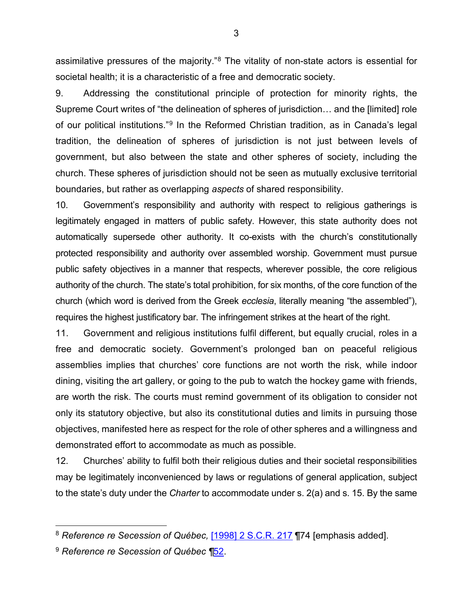assimilative pressures of the majority."[8](#page-6-0) The vitality of non-state actors is essential for societal health; it is a characteristic of a free and democratic society.

9. Addressing the constitutional principle of protection for minority rights, the Supreme Court writes of "the delineation of spheres of jurisdiction… and the [limited] role of our political institutions."<sup>[9](#page-6-1)</sup> In the Reformed Christian tradition, as in Canada's legal tradition, the delineation of spheres of jurisdiction is not just between levels of government, but also between the state and other spheres of society, including the church. These spheres of jurisdiction should not be seen as mutually exclusive territorial boundaries, but rather as overlapping *aspects* of shared responsibility.

10. Government's responsibility and authority with respect to religious gatherings is legitimately engaged in matters of public safety. However, this state authority does not automatically supersede other authority. It co-exists with the church's constitutionally protected responsibility and authority over assembled worship. Government must pursue public safety objectives in a manner that respects, wherever possible, the core religious authority of the church. The state's total prohibition, for six months, of the core function of the church (which word is derived from the Greek *ecclesia*, literally meaning "the assembled"), requires the highest justificatory bar. The infringement strikes at the heart of the right.

11. Government and religious institutions fulfil different, but equally crucial, roles in a free and democratic society. Government's prolonged ban on peaceful religious assemblies implies that churches' core functions are not worth the risk, while indoor dining, visiting the art gallery, or going to the pub to watch the hockey game with friends, are worth the risk. The courts must remind government of its obligation to consider not only its statutory objective, but also its constitutional duties and limits in pursuing those objectives, manifested here as respect for the role of other spheres and a willingness and demonstrated effort to accommodate as much as possible.

12. Churches' ability to fulfil both their religious duties and their societal responsibilities may be legitimately inconvenienced by laws or regulations of general application, subject to the state's duty under the *Charter* to accommodate under s. 2(a) and s. 15. By the same

3

<span id="page-6-0"></span><sup>8</sup> *Reference re Secession of Québec,* [\[1998\] 2 S.C.R.](https://decisions.scc-csc.ca/scc-csc/scc-csc/en/item/1643/index.do) 217 ¶74 [emphasis added].

<span id="page-6-1"></span><sup>9</sup> *Reference re Secession of Québec ¶*[52.](https://decisions.scc-csc.ca/scc-csc/scc-csc/en/item/1643/index.do)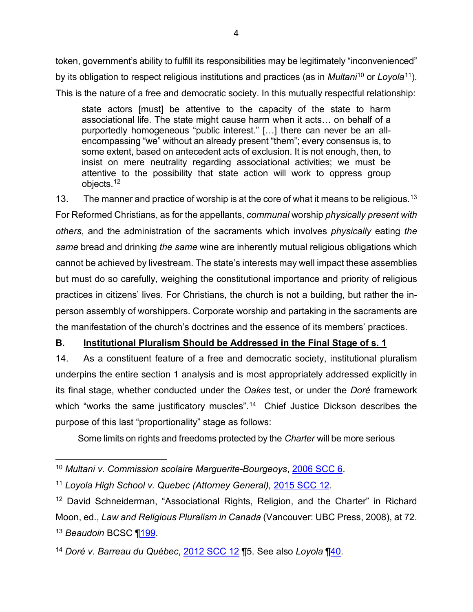token, government's ability to fulfill its responsibilities may be legitimately "inconvenienced" by its obligation to respect religious institutions and practices (as in *Multani*[10](#page-7-1) or *Loyola*[11\)](#page-7-2). This is the nature of a free and democratic society. In this mutually respectful relationship:

state actors [must] be attentive to the capacity of the state to harm associational life. The state might cause harm when it acts… on behalf of a purportedly homogeneous "public interest." […] there can never be an allencompassing "we" without an already present "them"; every consensus is, to some extent, based on antecedent acts of exclusion. It is not enough, then, to insist on mere neutrality regarding associational activities; we must be attentive to the possibility that state action will work to oppress group objects.[12](#page-7-3)

[13](#page-7-4). The manner and practice of worship is at the core of what it means to be religious.<sup>13</sup> For Reformed Christians, as for the appellants, *communal* worship *physically present with others*, and the administration of the sacraments which involves *physically* eating *the same* bread and drinking *the same* wine are inherently mutual religious obligations which cannot be achieved by livestream. The state's interests may well impact these assemblies but must do so carefully, weighing the constitutional importance and priority of religious practices in citizens' lives. For Christians, the church is not a building, but rather the inperson assembly of worshippers. Corporate worship and partaking in the sacraments are the manifestation of the church's doctrines and the essence of its members' practices.

## <span id="page-7-0"></span>**B. Institutional Pluralism Should be Addressed in the Final Stage of s. 1**

14. As a constituent feature of a free and democratic society, institutional pluralism underpins the entire section 1 analysis and is most appropriately addressed explicitly in its final stage, whether conducted under the *Oakes* test, or under the *Doré* framework which "works the same justificatory muscles". [14](#page-7-5) Chief Justice Dickson describes the purpose of this last "proportionality" stage as follows:

Some limits on rights and freedoms protected by the *Charter* will be more serious

<span id="page-7-1"></span><sup>10</sup> *Multani v. Commission scolaire Marguerite-Bourgeoys*, [2006 SCC 6.](https://decisions.scc-csc.ca/scc-csc/scc-csc/en/item/15/index.do)

<span id="page-7-2"></span><sup>11</sup> *Loyola High School v. Quebec (Attorney General),* [2015 SCC 12.](https://decisions.scc-csc.ca/scc-csc/scc-csc/en/item/14703/index.do)

<span id="page-7-3"></span><sup>&</sup>lt;sup>12</sup> David Schneiderman, "Associational Rights, Religion, and the Charter" in Richard Moon, ed., *Law and Religious Pluralism in Canada* (Vancouver: UBC Press, 2008), at 72. <sup>13</sup> *Beaudoin* BCSC [¶199.](https://www.bccourts.ca/jdb-txt/sc/21/05/2021BCSC0512cor1.htm)

<span id="page-7-5"></span><span id="page-7-4"></span><sup>14</sup> *Doré v. Barreau du Québec*, [2012 SCC 12](https://decisions.scc-csc.ca/scc-csc/scc-csc/en/item/7998/index.do) ¶5. See also *Loyola* [¶40.](https://decisions.scc-csc.ca/scc-csc/scc-csc/en/item/14703/index.do)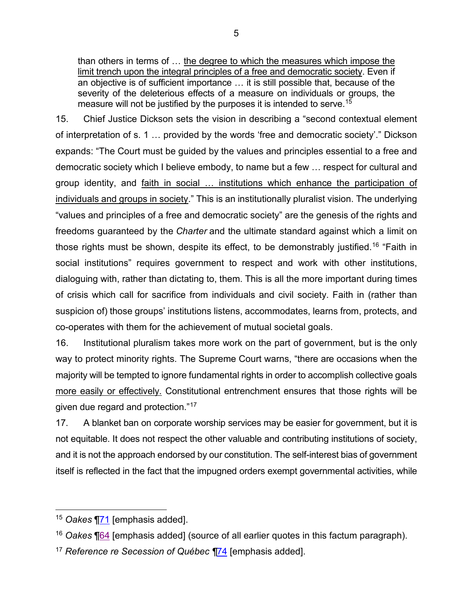than others in terms of … the degree to which the measures which impose the limit trench upon the integral principles of a free and democratic society. Even if an objective is of sufficient importance … it is still possible that, because of the severity of the deleterious effects of a measure on individuals or groups, the measure will not be justified by the purposes it is intended to serve.<sup>[15](#page-8-0)</sup>

15. Chief Justice Dickson sets the vision in describing a "second contextual element of interpretation of s. 1 … provided by the words 'free and democratic society'." Dickson expands: "The Court must be guided by the values and principles essential to a free and democratic society which I believe embody, to name but a few … respect for cultural and group identity, and faith in social … institutions which enhance the participation of individuals and groups in society." This is an institutionally pluralist vision. The underlying "values and principles of a free and democratic society" are the genesis of the rights and freedoms guaranteed by the *Charter* and the ultimate standard against which a limit on those rights must be shown, despite its effect, to be demonstrably justified.<sup>[16](#page-8-1)</sup> "Faith in social institutions" requires government to respect and work with other institutions, dialoguing with, rather than dictating to, them. This is all the more important during times of crisis which call for sacrifice from individuals and civil society. Faith in (rather than suspicion of) those groups' institutions listens, accommodates, learns from, protects, and co-operates with them for the achievement of mutual societal goals.

16. Institutional pluralism takes more work on the part of government, but is the only way to protect minority rights. The Supreme Court warns, "there are occasions when the majority will be tempted to ignore fundamental rights in order to accomplish collective goals more easily or effectively. Constitutional entrenchment ensures that those rights will be given due regard and protection."[17](#page-8-2)

17. A blanket ban on corporate worship services may be easier for government, but it is not equitable. It does not respect the other valuable and contributing institutions of society, and it is not the approach endorsed by our constitution. The self-interest bias of government itself is reflected in the fact that the impugned orders exempt governmental activities, while

<span id="page-8-1"></span><sup>16</sup> *Oakes* [¶64](https://decisions.scc-csc.ca/scc-csc/scc-csc/en/item/117/index.do) [emphasis added] (source of all earlier quotes in this factum paragraph).

<span id="page-8-0"></span><sup>15</sup> *Oakes* [¶71](https://decisions.scc-csc.ca/scc-csc/scc-csc/en/item/117/index.do) [emphasis added].

<span id="page-8-2"></span><sup>17</sup> *Reference re Secession of Québec ¶*[74](https://decisions.scc-csc.ca/scc-csc/scc-csc/en/item/1643/index.do) [emphasis added].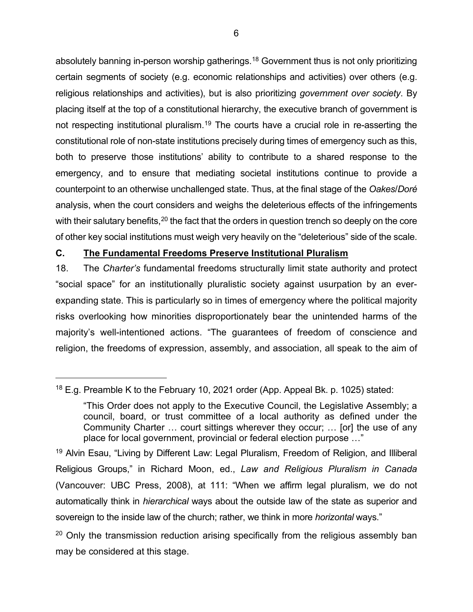absolutely banning in-person worship gatherings.<sup>18</sup> Government thus is not only prioritizing certain segments of society (e.g. economic relationships and activities) over others (e.g. religious relationships and activities), but is also prioritizing *government over society*. By placing itself at the top of a constitutional hierarchy, the executive branch of government is not respecting institutional pluralism.<sup>[19](#page-9-2)</sup> The courts have a crucial role in re-asserting the constitutional role of non-state institutions precisely during times of emergency such as this, both to preserve those institutions' ability to contribute to a shared response to the emergency, and to ensure that mediating societal institutions continue to provide a counterpoint to an otherwise unchallenged state. Thus, at the final stage of the *Oakes*/*Doré* analysis, when the court considers and weighs the deleterious effects of the infringements with their salutary benefits, $^\mathrm{20}$  $^\mathrm{20}$  $^\mathrm{20}$  the fact that the orders in question trench so deeply on the core of other key social institutions must weigh very heavily on the "deleterious" side of the scale.

#### <span id="page-9-0"></span>**C. The Fundamental Freedoms Preserve Institutional Pluralism**

18. The *Charter's* fundamental freedoms structurally limit state authority and protect "social space" for an institutionally pluralistic society against usurpation by an everexpanding state. This is particularly so in times of emergency where the political majority risks overlooking how minorities disproportionately bear the unintended harms of the majority's well-intentioned actions. "The guarantees of freedom of conscience and religion, the freedoms of expression, assembly, and association, all speak to the aim of

<span id="page-9-1"></span> $18$  E.g. Preamble K to the February 10, 2021 order (App. Appeal Bk. p. 1025) stated:

<sup>&</sup>quot;This Order does not apply to the Executive Council, the Legislative Assembly; a council, board, or trust committee of a local authority as defined under the Community Charter … court sittings wherever they occur; … [or] the use of any place for local government, provincial or federal election purpose …"

<span id="page-9-2"></span><sup>&</sup>lt;sup>19</sup> Alvin Esau, "Living by Different Law: Legal Pluralism, Freedom of Religion, and Illiberal Religious Groups," in Richard Moon, ed., *Law and Religious Pluralism in Canada* (Vancouver: UBC Press, 2008), at 111: "When we affirm legal pluralism, we do not automatically think in *hierarchical* ways about the outside law of the state as superior and sovereign to the inside law of the church; rather, we think in more *horizontal* ways."

<span id="page-9-3"></span> $20$  Only the transmission reduction arising specifically from the religious assembly ban may be considered at this stage.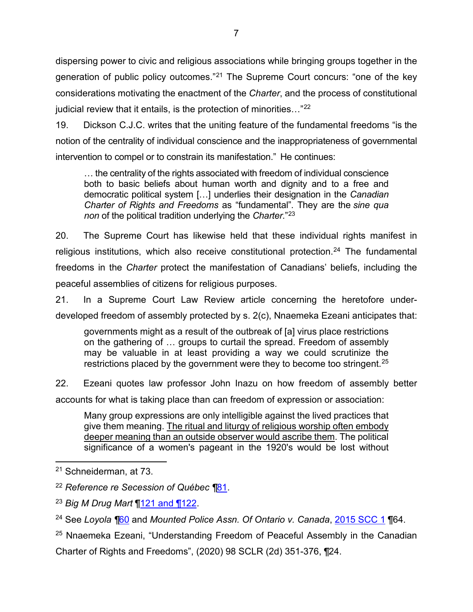dispersing power to civic and religious associations while bringing groups together in the generation of public policy outcomes."[21](#page-10-0) The Supreme Court concurs: "one of the key considerations motivating the enactment of the *Charter*, and the process of constitutional judicial review that it entails, is the protection of minorities..."<sup>[22](#page-10-1)</sup>

19. Dickson C.J.C. writes that the uniting feature of the fundamental freedoms "is the notion of the centrality of individual conscience and the inappropriateness of governmental intervention to compel or to constrain its manifestation." He continues:

… the centrality of the rights associated with freedom of individual conscience both to basic beliefs about human worth and dignity and to a free and democratic political system […] underlies their designation in the *Canadian Charter of Rights and Freedoms* as "fundamental". They are the *sine qua non* of the political tradition underlying the *Charter*."[23](#page-10-2)

20. The Supreme Court has likewise held that these individual rights manifest in religious institutions, which also receive constitutional protection.<sup>[24](#page-10-3)</sup> The fundamental freedoms in the *Charter* protect the manifestation of Canadians' beliefs, including the peaceful assemblies of citizens for religious purposes.

21. In a Supreme Court Law Review article concerning the heretofore underdeveloped freedom of assembly protected by s. 2(c), Nnaemeka Ezeani anticipates that:

governments might as a result of the outbreak of [a] virus place restrictions on the gathering of … groups to curtail the spread. Freedom of assembly may be valuable in at least providing a way we could scrutinize the restrictions placed by the government were they to become too stringent.<sup>[25](#page-10-4)</sup>

22. Ezeani quotes law professor John Inazu on how freedom of assembly better

accounts for what is taking place than can freedom of expression or association:

Many group expressions are only intelligible against the lived practices that give them meaning. The ritual and liturgy of religious worship often embody deeper meaning than an outside observer would ascribe them. The political significance of a women's pageant in the 1920's would be lost without

<span id="page-10-0"></span><sup>21</sup> Schneiderman, at 73.

<span id="page-10-1"></span><sup>22</sup> *Reference re Secession of Québec ¶*[81.](https://decisions.scc-csc.ca/scc-csc/scc-csc/en/item/1643/index.do)

<span id="page-10-2"></span><sup>23</sup> *Big M Drug Mart* [¶121 and ¶122.](https://decisions.scc-csc.ca/scc-csc/scc-csc/en/item/43/index.do)

<span id="page-10-3"></span><sup>24</sup> See *Loyola ¶*[60](https://decisions.scc-csc.ca/scc-csc/scc-csc/en/item/14703/index.do) and *Mounted Police Assn. Of Ontario v. Canada*, [2015 SCC 1](https://decisions.scc-csc.ca/scc-csc/scc-csc/en/item/14577/index.do) ¶64.

<span id="page-10-4"></span><sup>&</sup>lt;sup>25</sup> Nnaemeka Ezeani, "Understanding Freedom of Peaceful Assembly in the Canadian Charter of Rights and Freedoms", (2020) 98 SCLR (2d) 351-376, ¶24.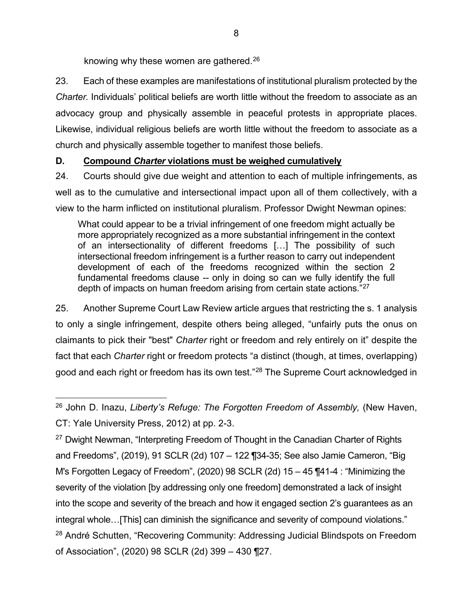knowing why these women are gathered.<sup>[26](#page-11-1)</sup>

23. Each of these examples are manifestations of institutional pluralism protected by the *Charter.* Individuals' political beliefs are worth little without the freedom to associate as an advocacy group and physically assemble in peaceful protests in appropriate places. Likewise, individual religious beliefs are worth little without the freedom to associate as a church and physically assemble together to manifest those beliefs.

### <span id="page-11-0"></span>**D. Compound** *Charter* **violations must be weighed cumulatively**

24. Courts should give due weight and attention to each of multiple infringements, as well as to the cumulative and intersectional impact upon all of them collectively, with a view to the harm inflicted on institutional pluralism. Professor Dwight Newman opines:

What could appear to be a trivial infringement of one freedom might actually be more appropriately recognized as a more substantial infringement in the context of an intersectionality of different freedoms […] The possibility of such intersectional freedom infringement is a further reason to carry out independent development of each of the freedoms recognized within the section 2 fundamental freedoms clause -- only in doing so can we fully identify the full depth of impacts on human freedom arising from certain state actions."[27](#page-11-2)

25. Another Supreme Court Law Review article argues that restricting the s. 1 analysis to only a single infringement, despite others being alleged, "unfairly puts the onus on claimants to pick their "best" *Charter* right or freedom and rely entirely on it" despite the fact that each *Charter* right or freedom protects "a distinct (though, at times, overlapping) good and each right or freedom has its own test."<sup>[28](#page-11-3)</sup> The Supreme Court acknowledged in

<span id="page-11-3"></span><span id="page-11-2"></span><sup>27</sup> Dwight Newman, "Interpreting Freedom of Thought in the Canadian Charter of Rights and Freedoms", (2019), 91 SCLR (2d) 107 – 122 ¶34-35; See also Jamie Cameron, "Big M's Forgotten Legacy of Freedom", (2020) 98 SCLR (2d) 15 – 45 ¶41-4 : "Minimizing the severity of the violation [by addressing only one freedom] demonstrated a lack of insight into the scope and severity of the breach and how it engaged section 2's guarantees as an integral whole…[This] can diminish the significance and severity of compound violations." <sup>28</sup> André Schutten, "Recovering Community: Addressing Judicial Blindspots on Freedom of Association", (2020) 98 SCLR (2d) 399 – 430 ¶27.

<span id="page-11-1"></span><sup>26</sup> John D. Inazu, *Liberty's Refuge: The Forgotten Freedom of Assembly,* (New Haven, CT: Yale University Press, 2012) at pp. 2-3.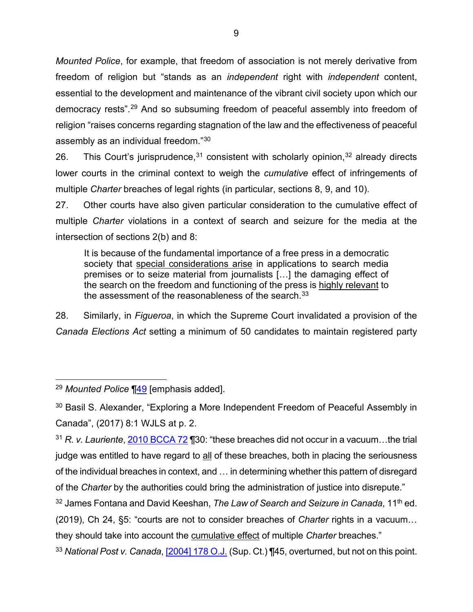*Mounted Police*, for example, that freedom of association is not merely derivative from freedom of religion but "stands as an *independent* right with *independent* content, essential to the development and maintenance of the vibrant civil society upon which our democracy rests".[29](#page-12-0) And so subsuming freedom of peaceful assembly into freedom of religion "raises concerns regarding stagnation of the law and the effectiveness of peaceful assembly as an individual freedom."[30](#page-12-1)

26. This Court's jurisprudence,  $31$  consistent with scholarly opinion,  $32$  already directs lower courts in the criminal context to weigh the *cumulative* effect of infringements of multiple *Charter* breaches of legal rights (in particular, sections 8, 9, and 10).

27. Other courts have also given particular consideration to the cumulative effect of multiple *Charter* violations in a context of search and seizure for the media at the intersection of sections 2(b) and 8:

It is because of the fundamental importance of a free press in a democratic society that special considerations arise in applications to search media premises or to seize material from journalists […] the damaging effect of the search on the freedom and functioning of the press is highly relevant to the assessment of the reasonableness of the search.  $33$ 

28. Similarly, in *Figueroa*, in which the Supreme Court invalidated a provision of the *Canada Elections Act* setting a minimum of 50 candidates to maintain registered party

<span id="page-12-0"></span><sup>29</sup> *Mounted Police* [¶49](https://decisions.scc-csc.ca/scc-csc/scc-csc/en/item/14577/index.do) [emphasis added].

<span id="page-12-1"></span><sup>&</sup>lt;sup>30</sup> Basil S. Alexander, "Exploring a More Independent Freedom of Peaceful Assembly in Canada", (2017) 8:1 WJLS at p. 2.

<span id="page-12-2"></span><sup>31</sup> *R. v. Lauriente*, [2010 BCCA 72](https://www.bccourts.ca/jdb-txt/CA/10/00/2010BCCA0072.htm) ¶30: "these breaches did not occur in a vacuum…the trial judge was entitled to have regard to all of these breaches, both in placing the seriousness of the individual breaches in context, and … in determining whether this pattern of disregard of the *Charter* by the authorities could bring the administration of justice into disrepute."

<span id="page-12-3"></span><sup>&</sup>lt;sup>32</sup> James Fontana and David Keeshan, *The Law of Search and Seizure in Canada*, 11<sup>th</sup> ed.

<sup>(2019),</sup> Ch 24, §5: "courts are not to consider breaches of *Charter* rights in a vacuum… they should take into account the cumulative effect of multiple *Charter* breaches."

<span id="page-12-4"></span><sup>33</sup> *National Post v. Canada*[, \[2004\] 178 O.J.](https://www.canlii.org/en/on/onsc/doc/2004/2004canlii8048/2004canlii8048.html?autocompleteStr=2004%20178%20oj%20&autocompletePos=1) (Sup. Ct.) ¶45, overturned, but not on this point.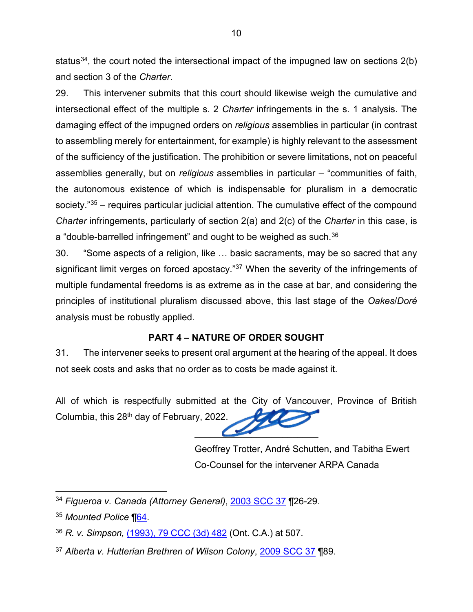status<sup>[34](#page-13-1)</sup>, the court noted the intersectional impact of the impugned law on sections  $2(b)$ and section 3 of the *Charter*.

29. This intervener submits that this court should likewise weigh the cumulative and intersectional effect of the multiple s. 2 *Charter* infringements in the s. 1 analysis. The damaging effect of the impugned orders on *religious* assemblies in particular (in contrast to assembling merely for entertainment, for example) is highly relevant to the assessment of the sufficiency of the justification. The prohibition or severe limitations, not on peaceful assemblies generally, but on *religious* assemblies in particular – "communities of faith, the autonomous existence of which is indispensable for pluralism in a democratic society."<sup>[35](#page-13-2)</sup> – requires particular judicial attention. The cumulative effect of the compound *Charter* infringements, particularly of section 2(a) and 2(c) of the *Charter* in this case, is a "double-barrelled infringement" and ought to be weighed as such.<sup>[36](#page-13-3)</sup>

30. "Some aspects of a religion, like … basic sacraments, may be so sacred that any significant limit verges on forced apostacy."[37](#page-13-4) When the severity of the infringements of multiple fundamental freedoms is as extreme as in the case at bar, and considering the principles of institutional pluralism discussed above, this last stage of the *Oakes*/*Doré* analysis must be robustly applied.

### **PART 4 – NATURE OF ORDER SOUGHT**

<span id="page-13-0"></span>31. The intervener seeks to present oral argument at the hearing of the appeal. It does not seek costs and asks that no order as to costs be made against it.

All of which is respectfully submitted at the City of Vancouver, Province of British Columbia, this 28<sup>th</sup> day of February, 2022.

 $\overline{\phantom{a}}$ 

Geoffrey Trotter, André Schutten, and Tabitha Ewert Co-Counsel for the intervener ARPA Canada

<span id="page-13-1"></span><sup>34</sup> *Figueroa v. Canada (Attorney General)*, [2003 SCC 37](https://decisions.scc-csc.ca/scc-csc/scc-csc/en/item/2069/index.do) ¶26-29.

<span id="page-13-2"></span><sup>35</sup> *Mounted Police* [¶64.](https://decisions.scc-csc.ca/scc-csc/scc-csc/en/item/14577/index.do)

<span id="page-13-3"></span><sup>36</sup> *R. v. Simpson,* [\(1993\), 79 CCC \(3d\) 482](https://www.canlii.org/en/on/onca/doc/1993/1993canlii3379/1993canlii3379.html?autocompleteStr=r%20v%20simpson%2079%20ccc%20482&autocompletePos=1) (Ont. C.A.) at 507.

<span id="page-13-4"></span><sup>37</sup> *Alberta v. Hutterian Brethren of Wilson Colony*, [2009 SCC 37](https://decisions.scc-csc.ca/scc-csc/scc-csc/en/item/7808/index.do) ¶89.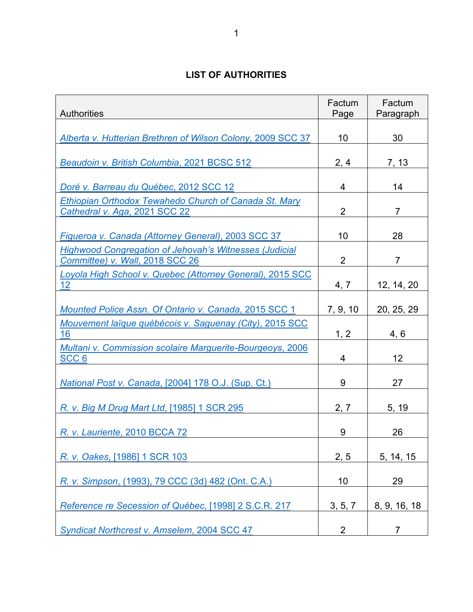### **LIST OF AUTHORITIES**

<span id="page-14-0"></span>

| <b>Authorities</b>                                                                               | Factum<br>Page | Factum<br>Paragraph |
|--------------------------------------------------------------------------------------------------|----------------|---------------------|
| Alberta v. Hutterian Brethren of Wilson Colony, 2009 SCC 37                                      | 10             | 30                  |
| Beaudoin v. British Columbia, 2021 BCSC 512                                                      | 2, 4           | 7, 13               |
| Doré v. Barreau du Québec, 2012 SCC 12                                                           | 4              | 14                  |
| Ethiopian Orthodox Tewahedo Church of Canada St. Mary<br>Cathedral v. Aga, 2021 SCC 22           | $\overline{2}$ | $\overline{7}$      |
| Figueroa v. Canada (Attorney General), 2003 SCC 37                                               | 10             | 28                  |
| <b>Highwood Congregation of Jehovah's Witnesses (Judicial</b><br>Committee) v. Wall, 2018 SCC 26 | $\overline{2}$ | $\overline{7}$      |
| Loyola High School v. Quebec (Attorney General), 2015 SCC<br>12                                  | 4, 7           | 12, 14, 20          |
| Mounted Police Assn. Of Ontario v. Canada, 2015 SCC 1                                            | 7, 9, 10       | 20, 25, 29          |
| Mouvement laïque québécois v. Saguenay (City), 2015 SCC<br>16                                    | 1, 2           | 4, 6                |
| <b>Multani v. Commission scolaire Marguerite-Bourgeoys, 2006</b><br>SCC <sub>6</sub>             | 4              | 12                  |
| National Post v. Canada, [2004] 178 O.J. (Sup. Ct.)                                              | 9              | 27                  |
| R. v. Big M Drug Mart Ltd, [1985] 1 SCR 295                                                      | 2, 7           | 5, 19               |
| R. v. Lauriente, 2010 BCCA 72                                                                    | 9              | 26                  |
| R. v. Oakes, [1986] 1 SCR 103                                                                    | 2, 5           | 5, 14, 15           |
| R. v. Simpson, (1993), 79 CCC (3d) 482 (Ont. C.A.)                                               | 10             | 29                  |
| Reference re Secession of Québec, [1998] 2 S.C.R. 217                                            | 3, 5, 7        | 8, 9, 16, 18        |
| Syndicat Northcrest v. Amselem, 2004 SCC 47                                                      | 2              | $\overline{7}$      |